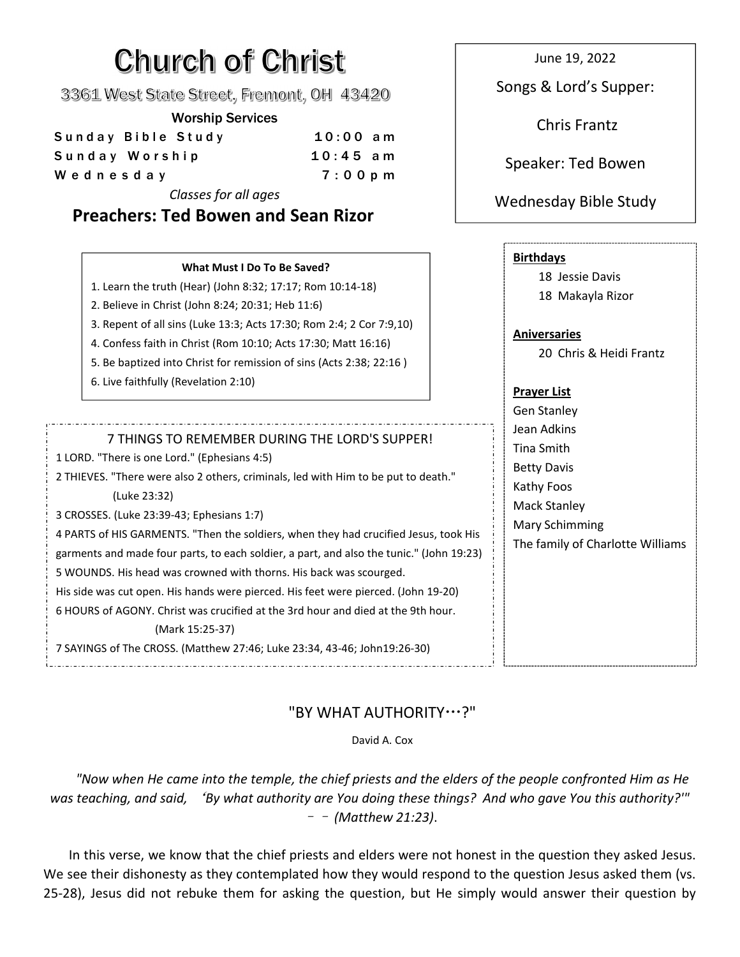# **Church of Christ**

3361 West State Street, Fremont, OH 43420

#### Worship Services

| Sunday Bible Study | $10:00$ am | _                  |
|--------------------|------------|--------------------|
| Sunday Worship     | $10:45$ am | Speaker: Ted Bowen |
| Wednesday          | $7:00$ p m |                    |
|                    |            |                    |

*Classes for all ages*

## **Preachers: Ted Bowen and Sean Rizor**

June 19, 2022

Songs & Lord's Supper:

Chris Frantz

## Wednesday Bible Study

| 1. Learn the truth (Hear) (John 8:32; 17:17; Rom 10:14-18)<br>2. Believe in Christ (John 8:24; 20:31; Heb 11:6)<br>3. Repent of all sins (Luke 13:3; Acts 17:30; Rom 2:4; 2 Cor 7:9,10)<br>4. Confess faith in Christ (Rom 10:10; Acts 17:30; Matt 16:16)<br>5. Be baptized into Christ for remission of sins (Acts 2:38; 22:16)                                                                                                                                                                                                                                                                                                                                                      | 18 Jessie Davis<br>18 Makayla Rizor<br><b>Aniversaries</b><br>20 Chris & Heidi Frantz                                                             |
|---------------------------------------------------------------------------------------------------------------------------------------------------------------------------------------------------------------------------------------------------------------------------------------------------------------------------------------------------------------------------------------------------------------------------------------------------------------------------------------------------------------------------------------------------------------------------------------------------------------------------------------------------------------------------------------|---------------------------------------------------------------------------------------------------------------------------------------------------|
| 6. Live faithfully (Revelation 2:10)                                                                                                                                                                                                                                                                                                                                                                                                                                                                                                                                                                                                                                                  | <b>Prayer List</b><br><b>Gen Stanley</b>                                                                                                          |
| 7 THINGS TO REMEMBER DURING THE LORD'S SUPPER!<br>1 LORD. "There is one Lord." (Ephesians 4:5)<br>2 THIEVES. "There were also 2 others, criminals, led with Him to be put to death."<br>(Luke 23:32)<br>3 CROSSES. (Luke 23:39-43; Ephesians 1:7)<br>4 PARTS of HIS GARMENTS. "Then the soldiers, when they had crucified Jesus, took His<br>garments and made four parts, to each soldier, a part, and also the tunic." (John 19:23)<br>5 WOUNDS. His head was crowned with thorns. His back was scourged.<br>His side was cut open. His hands were pierced. His feet were pierced. (John 19-20)<br>6 HOURS of AGONY, Christ was crucified at the 3rd hour and died at the 9th hour. | Jean Adkins<br><b>Tina Smith</b><br><b>Betty Davis</b><br>Kathy Foos<br><b>Mack Stanley</b><br>Mary Schimming<br>The family of Charlotte Williams |
| (Mark 15:25-37)                                                                                                                                                                                                                                                                                                                                                                                                                                                                                                                                                                                                                                                                       |                                                                                                                                                   |

## "BY WHAT AUTHORITY…?"

David A. Cox

"Now when He came into the temple, the chief priests and the elders of the people confronted Him as He was teaching, and said, 'By what authority are You doing these things? And who gave You this authority?" –– *(Matthew 21:23)*.

In this verse, we know that the chief priests and elders were not honest in the question they asked Jesus. We see their dishonesty as they contemplated how they would respond to the question Jesus asked them (vs. 25-28), Jesus did not rebuke them for asking the question, but He simply would answer their question by